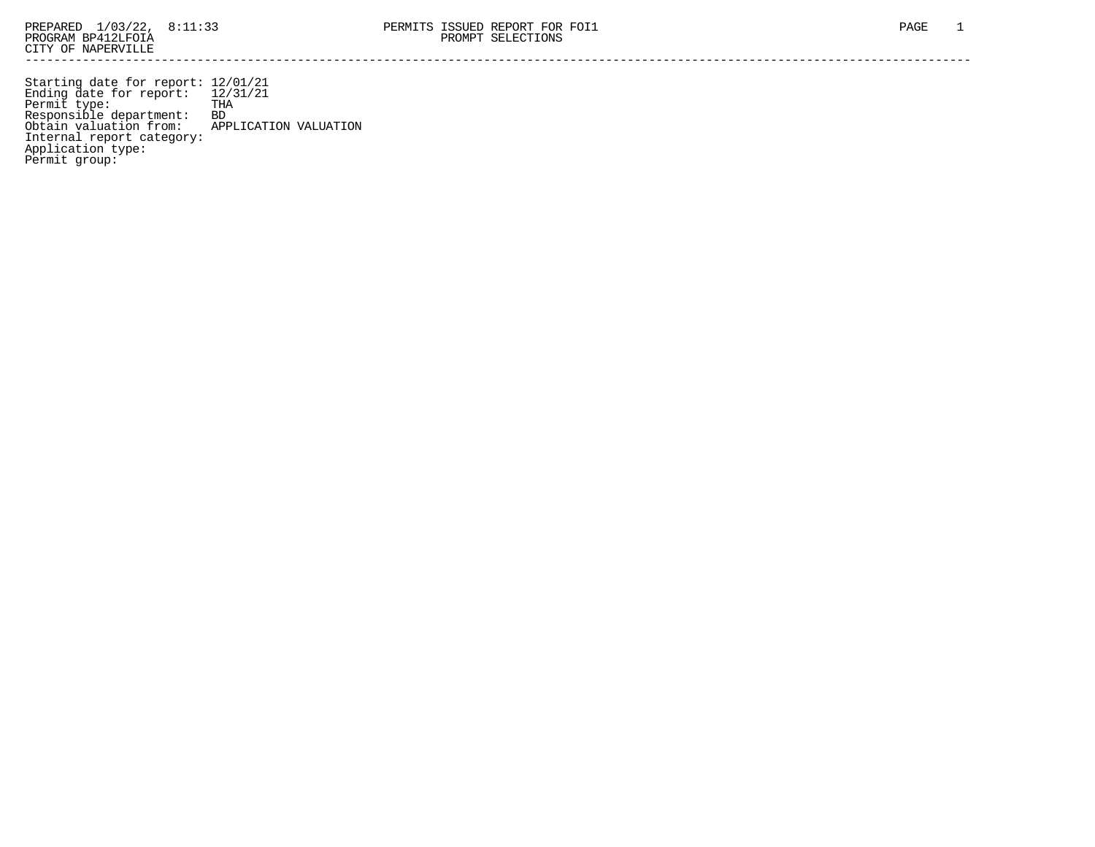Starting date for report: 12/01/21 Ending date for report: 12/31/21 Permit type: THA Responsible department: BD Obtain valuation from: APPLICATION VALUATION Internal report category: Application type: Permit group: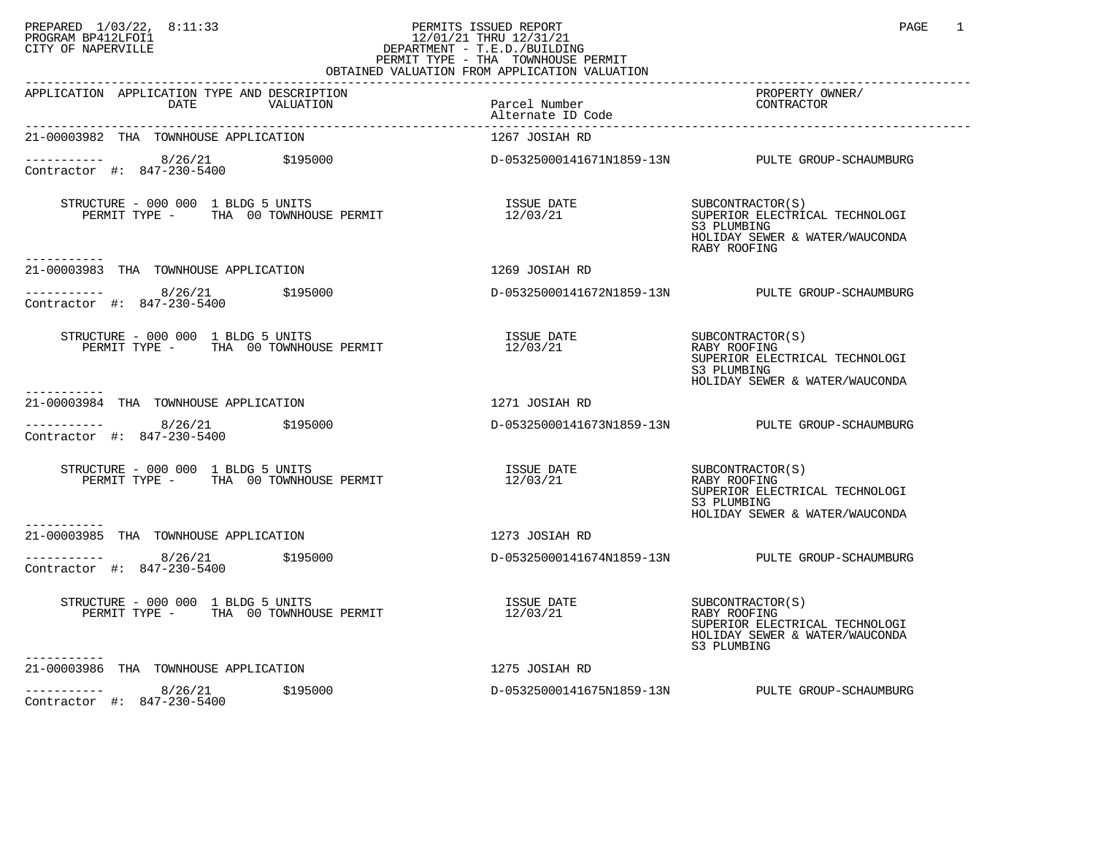## PREPARED 1/03/22, 8:11:33 PERMITS ISSUED REPORT<br>PROGRAM BP412LFOI1 PAGE 1 PROGRAM BP412LFOI1 12/01/21 THRU 12/31/21 CITY OF NAPERVILLE **Example 20** CITY OF NAPERVILLE PERMIT TYPE - THA TOWNHOUSE PERMIT OBTAINED VALUATION FROM APPLICATION VALUATION

| CDINILIANO VIINCIILION LICON                                                                                                                                                                                                                                                                                                            |                                                     |                                                                                                                                       |
|-----------------------------------------------------------------------------------------------------------------------------------------------------------------------------------------------------------------------------------------------------------------------------------------------------------------------------------------|-----------------------------------------------------|---------------------------------------------------------------------------------------------------------------------------------------|
| APPLICATION APPLICATION TYPE AND DESCRIPTION<br>DATE VALUATION                                                                                                                                                                                                                                                                          | Parcel Number<br>Alternate ID Code                  | PROPERTY OWNER/<br>CONTRACTOR                                                                                                         |
| 21-00003982 THA TOWNHOUSE APPLICATION                                                                                                                                                                                                                                                                                                   | 1267 JOSIAH RD                                      |                                                                                                                                       |
|                                                                                                                                                                                                                                                                                                                                         |                                                     | D-05325000141671N1859-13N PULTE GROUP-SCHAUMBURG                                                                                      |
| STRUCTURE - 000 000 1 BLDG 5 UNITS<br>PERMIT TYPE - THA 00 TOWNHOUSE PERMIT<br>-----------                                                                                                                                                                                                                                              | ISSUE DATE<br>12/03/21                              | SUBCONTRACTOR(S)<br>SUPERIOR FLICT<br>SUPERIOR ELECTRICAL TECHNOLOGI<br>S3 PLUMBING<br>HOLIDAY SEWER & WATER/WAUCONDA<br>RABY ROOFING |
| 21-00003983 THA TOWNHOUSE APPLICATION                                                                                                                                                                                                                                                                                                   | 1269 JOSIAH RD                                      |                                                                                                                                       |
| ----------- 8/26/21 \$195000<br>Contractor #: 847-230-5400                                                                                                                                                                                                                                                                              |                                                     | D-05325000141672N1859-13N PULTE GROUP-SCHAUMBURG                                                                                      |
| $STRUCTURE - 000 000 1 BLDG 5 UNITS$<br>PERMIT TYPE - THA 00 TOWNHOUSE PERMIT                                                                                                                                                                                                                                                           |                                                     | SUPERIOR ELECTRICAL TECHNOLOGI<br>S3 PLUMBING<br>HOLIDAY SEWER & WATER/WAUCONDA                                                       |
| 21-00003984 THA TOWNHOUSE APPLICATION                                                                                                                                                                                                                                                                                                   | 1271 JOSIAH RD                                      |                                                                                                                                       |
| $\frac{1}{2}$ = $\frac{1}{2}$ = $\frac{8}{26/21}$ $\frac{1}{2}$ $\frac{1}{2}$ = $\frac{1}{2}$ = $\frac{1}{2}$ = $\frac{1}{2}$ = $\frac{1}{2}$ = $\frac{1}{2}$ = $\frac{1}{2}$ = $\frac{1}{2}$ = $\frac{1}{2}$ = $\frac{1}{2}$ = $\frac{1}{2}$ = $\frac{1}{2}$ = $\frac{1}{2}$ = $\frac{1}{2}$ = $\frac{1$<br>Contractor #: 847-230-5400 |                                                     | D-05325000141673N1859-13N PULTE GROUP-SCHAUMBURG                                                                                      |
| STRUCTURE - 000 000 1 BLDG 5 UNITS<br>PERMIT TYPE - THA 00 TOWNHOUSE PERMIT                                                                                                                                                                                                                                                             | ISSUE DATE<br>12/02/21 SUBCONTRACTOR(S)<br>12/03/21 | RABY ROOFING<br>SUPERIOR ELECTRICAL TECHNOLOGI<br>S3 PLUMBING<br>HOLIDAY SEWER & WATER/WAUCONDA                                       |
| 21-00003985 THA TOWNHOUSE APPLICATION                                                                                                                                                                                                                                                                                                   | 1273 JOSIAH RD                                      |                                                                                                                                       |
| $---------$ 8/26/21 \$195000<br>Contractor #: 847-230-5400                                                                                                                                                                                                                                                                              |                                                     | D-05325000141674N1859-13N PULTE GROUP-SCHAUMBURG                                                                                      |
| STRUCTURE - 000 000 1 BLDG 5 UNITS<br>PERMIT TYPE - THA 00 TOWNHOUSE PERMIT                                                                                                                                                                                                                                                             |                                                     | SUPERIOR ELECTRICAL TECHNOLOGI<br>HOLIDAY SEWER & WATER/WAUCONDA<br>S3 PLUMBING                                                       |
| 21-00003986 THA TOWNHOUSE APPLICATION                                                                                                                                                                                                                                                                                                   | 1275 JOSIAH RD                                      |                                                                                                                                       |
| $        8/26/21$ $\frac{195000}{20}$<br>Contractor #: 847-230-5400                                                                                                                                                                                                                                                                     |                                                     | D-05325000141675N1859-13N PULTE GROUP-SCHAUMBURG                                                                                      |